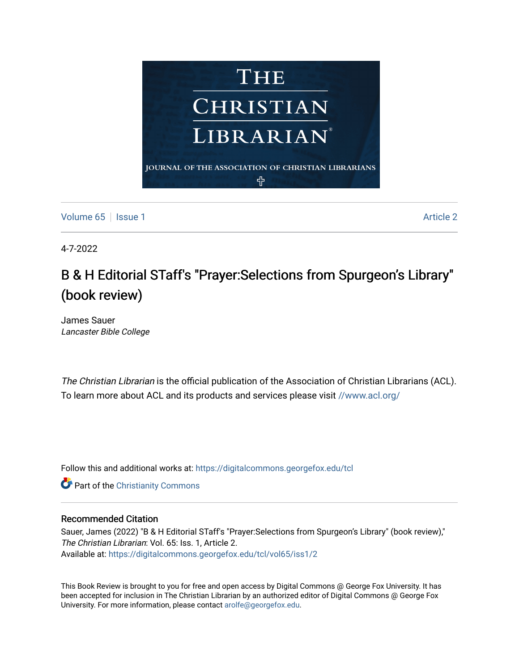

[Volume 65](https://digitalcommons.georgefox.edu/tcl/vol65) | [Issue 1](https://digitalcommons.georgefox.edu/tcl/vol65/iss1) Article 2

4-7-2022

## B & H Editorial STaff's "Prayer:Selections from Spurgeon's Library" (book review)

James Sauer Lancaster Bible College

The Christian Librarian is the official publication of the Association of Christian Librarians (ACL). To learn more about ACL and its products and services please visit [//www.acl.org/](/www.acl.org/)

Follow this and additional works at: [https://digitalcommons.georgefox.edu/tcl](https://digitalcommons.georgefox.edu/tcl?utm_source=digitalcommons.georgefox.edu%2Ftcl%2Fvol65%2Fiss1%2F2&utm_medium=PDF&utm_campaign=PDFCoverPages) 

**C** Part of the Christianity Commons

## Recommended Citation

Sauer, James (2022) "B & H Editorial STaff's "Prayer:Selections from Spurgeon's Library" (book review)," The Christian Librarian: Vol. 65: Iss. 1, Article 2. Available at: [https://digitalcommons.georgefox.edu/tcl/vol65/iss1/2](https://digitalcommons.georgefox.edu/tcl/vol65/iss1/2?utm_source=digitalcommons.georgefox.edu%2Ftcl%2Fvol65%2Fiss1%2F2&utm_medium=PDF&utm_campaign=PDFCoverPages) 

This Book Review is brought to you for free and open access by Digital Commons @ George Fox University. It has been accepted for inclusion in The Christian Librarian by an authorized editor of Digital Commons @ George Fox University. For more information, please contact [arolfe@georgefox.edu.](mailto:arolfe@georgefox.edu)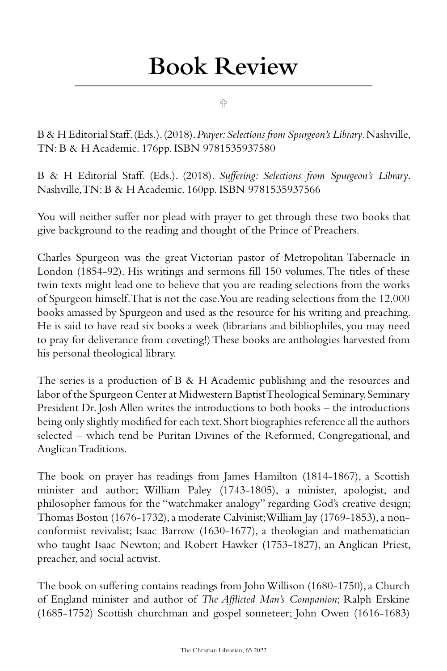## Book Review

4

B & H Editorial Staff. (Eds.). (2018). *Prayer: Selections from Spurgeon's Library*. Nashville, TN: B & H Academic. 176pp. ISBN 9781535937580

B & H Editorial Staff. (Eds.). (2018). *Suffering: Selections from Spurgeon's Library*. Nashville, TN: B & H Academic. 160pp. ISBN 9781535937566

You will neither suffer nor plead with prayer to get through these two books that give background to the reading and thought of the Prince of Preachers.

Charles Spurgeon was the great Victorian pastor of Metropolitan Tabernacle in London (1854-92). His writings and sermons fill 150 volumes. The titles of these twin texts might lead one to believe that you are reading selections from the works of Spurgeon himself. That is not the case. You are reading selections from the 12,000 books amassed by Spurgeon and used as the resource for his writing and preaching. He is said to have read six books a week (librarians and bibliophiles, you may need to pray for deliverance from coveting!) These books are anthologies harvested from his personal theological library.

The series is a production of B & H Academic publishing and the resources and labor of the Spurgeon Center at Midwestern Baptist Theological Seminary. Seminary President Dr. Josh Allen writes the introductions to both books – the introductions being only slightly modified for each text. Short biographies reference all the authors selected – which tend be Puritan Divines of the Reformed, Congregational, and Anglican Traditions.

The book on prayer has readings from James Hamilton (1814-1867), a Scottish minister and author; William Paley (1743-1805), a minister, apologist, and philosopher famous for the "watchmaker analogy" regarding God's creative design; Thomas Boston (1676-1732), a moderate Calvinist; William Jay (1769-1853), a nonconformist revivalist; Isaac Barrow (1630-1677), a theologian and mathematician who taught Isaac Newton; and Robert Hawker (1753-1827), an Anglican Priest, preacher, and social activist.

The book on suffering contains readings from John Willison (1680-1750), a Church of England minister and author of *The Afflicted Man's Companion*; Ralph Erskine (1685-1752) Scottish churchman and gospel sonneteer; John Owen (1616-1683)